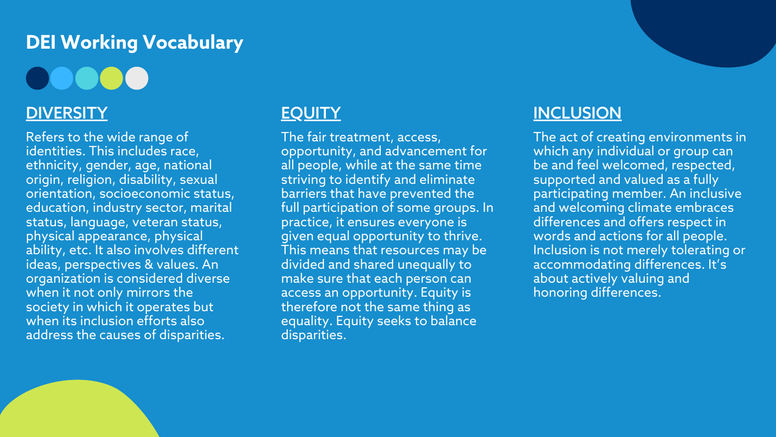### **DEI Working Vocabulary**

DOOOC

#### **DIVERSITY**

Refers to the wide range of identities. This includes race, ethnicity, gender, age, national origin, religion, disability, sexual orientation, socioeconomic status, education, industry sector, marital status, language, veteran status, physical appearance, physical ability, etc. It also involves different ideas, perspectives & values. An organization is considered diverse when it not only mirrors the society in which it operates but when its inclusion efforts also address the causes of disparities.

### **EQUITY**

The fair treatment, access, opportunity, and advancement for all people, while at the same time striving to identify and eliminate barriers that have prevented the full participation of some groups. In practice, it ensures everyone is given equal opportunity to thrive. This means that resources may be divided and shared unequally to make sure that each person can access an opportunity. Equity is therefore not the same thing as equality. Equity seeks to balance disparities.

#### **INCLUSION**

The act of creating environments in which any individual or group can be and feel welcomed, respected, supported and valued as a fully participating member. An inclusive and welcoming climate embraces differences and offers respect in words and actions for all people. Inclusion is not merely tolerating or accommodating differences. It's about actively valuing and honoring differences.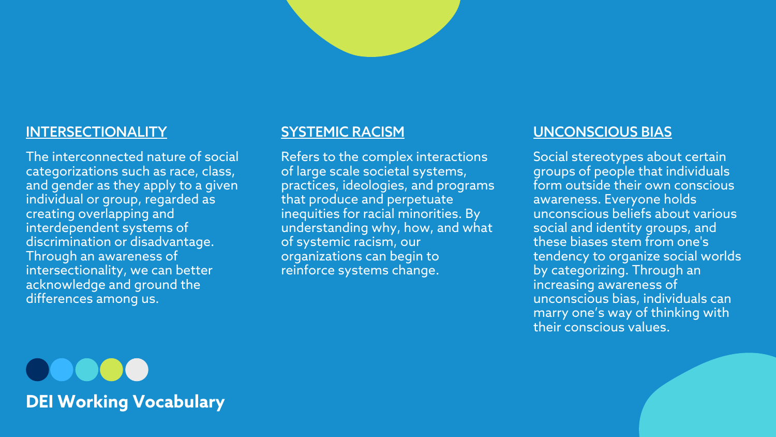DO OO C **DEI Working Vocabulary**

#### INTERSECTIONALITY

The interconnected nature of social categorizations such as race, class, and gender as they apply to a given individual or group, regarded as creating overlapping and interdependent systems of discrimination or disadvantage. Through an awareness of intersectionality, we can better acknowledge and ground the differences among us.

#### SYSTEMIC RACISM

Refers to the complex interactions of large scale societal systems, practices, ideologies, and programs that produce and perpetuate inequities for racial minorities. By understanding why, how, and what of systemic racism, our organizations can begin to reinforce systems change.

#### UNCONSCIOUS BIAS

Social stereotypes about certain groups of people that individuals form outside their own conscious awareness. Everyone holds unconscious beliefs about various social and identity groups, and these biases stem from one's tendency to organize social worlds by categorizing. Through an increasing awareness of unconscious bias, individuals can marry one's way of thinking with their conscious values.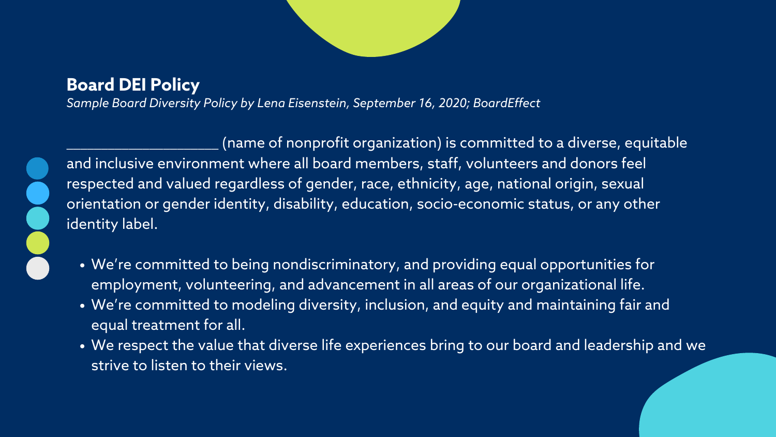*Sample Board Diversity Policy by Lena [Eisenstein,](https://www.boardeffect.com/blog/author/lena/) September 16, 2020; [BoardEffect](https://www.boardeffect.com/blog/)*



- We're committed to being nondiscriminatory, and providing equal opportunities for employment, volunteering, and advancement in all areas of our organizational life.
- We're committed to modeling diversity, inclusion, and equity and maintaining fair and equal treatment for all.
- We respect the value that diverse life experiences bring to our board and leadership and we strive to listen to their views.

(name of nonprofit organization) is committed to a diverse, equitable and inclusive environment where all board members, staff, volunteers and donors feel respected and valued regardless of gender, race, ethnicity, age, national origin, sexual orientation or gender identity, disability, education, socio-economic status, or any other identity label.

### **Board DEI Policy**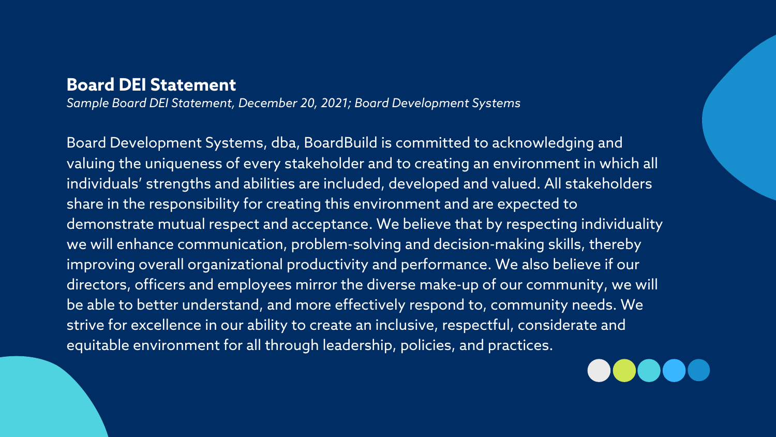*Sample Board DEI Statement, December 20, 2021; Board Development Systems*

Board Development Systems, dba, BoardBuild is committed to acknowledging and valuing the uniqueness of every stakeholder and to creating an environment in which all individuals' strengths and abilities are included, developed and valued. All stakeholders share in the responsibility for creating this environment and are expected to demonstrate mutual respect and acceptance. We believe that by respecting individuality we will enhance communication, problem-solving and decision-making skills, thereby improving overall organizational productivity and performance. We also believe if our directors, officers and employees mirror the diverse make-up of our community, we will be able to better understand, and more effectively respond to, community needs. We strive for excellence in our ability to create an inclusive, respectful, considerate and equitable environment for all through leadership, policies, and practices.



#### **Board DEI Statement**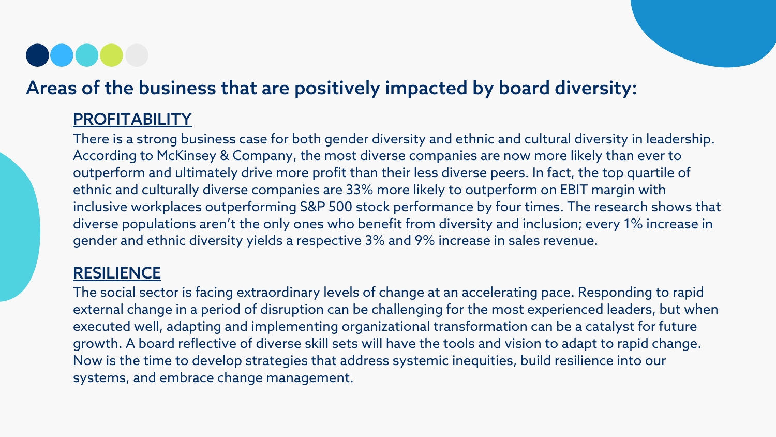There is a strong business case for both gender diversity and ethnic and cultural diversity in leadership. According to McKinsey & [Company,](https://www.mckinsey.com/~/media/McKinsey/Featured%20Insights/Diversity%20and%20Inclusion/Diversity%20wins%20How%20inclusion%20matters/SVGZ-DiversityWins-ex1-final.svgz) the most diverse companies are now more likely than ever to outperform and ultimately drive more profit than their less diverse peers. In fact, the top quartile of ethnic and culturally diverse companies are 33% more likely to outperform on EBIT margin with inclusive workplaces outperforming S&P 500 stock performance by four times. The research shows that diverse populations aren't the only ones who benefit from diversity and inclusion; every 1% increase in gender and ethnic diversity yields a respective 3% and 9% increase in sales revenue.

#### **RESILIENCE**

### Areas of the business that are positively impacted by board diversity:

#### **PROFITABILITY**

The social sector is facing extraordinary levels of change at an accelerating pace. Responding to rapid external change in a period of disruption can be challenging for the most experienced leaders, but when executed well, adapting and implementing organizational transformation can be a catalyst for future growth. A board reflective of diverse skill sets will have the tools and vision to adapt to rapid change. Now is the time to develop strategies that address systemic inequities, build resilience into our systems, and embrace change management.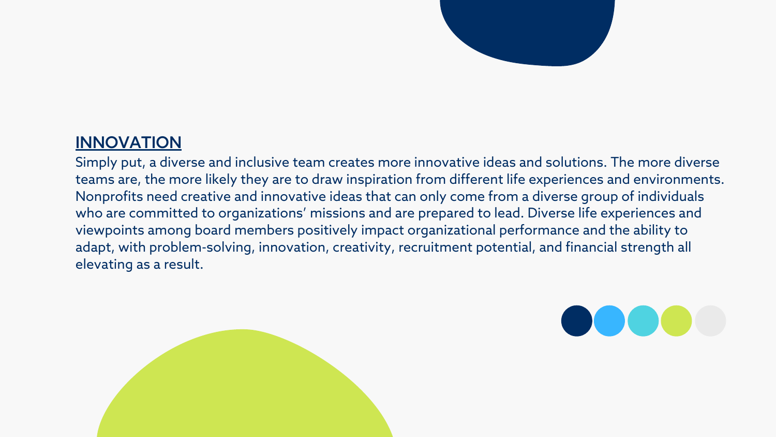### INNOVATION

Simply put, a diverse and inclusive team creates more innovative ideas and solutions. The more diverse teams are, the more likely they are to draw inspiration from different life experiences and environments. Nonprofits need creative and innovative ideas that can only come from a diverse group of individuals who are committed to [organizations'](https://www.boardbuild.org/increase-your-nonprofit-boards-diversity/) missions and are prepared to lead. Diverse life experiences and viewpoints among board members positively impact [organizational](https://www.boardbuild.org/the-power-of-diverse-boards-an-argument-for-change/) performance and the ability to adapt, with problem-solving, innovation, creativity, recruitment potential, and financial strength all elevating as a result.





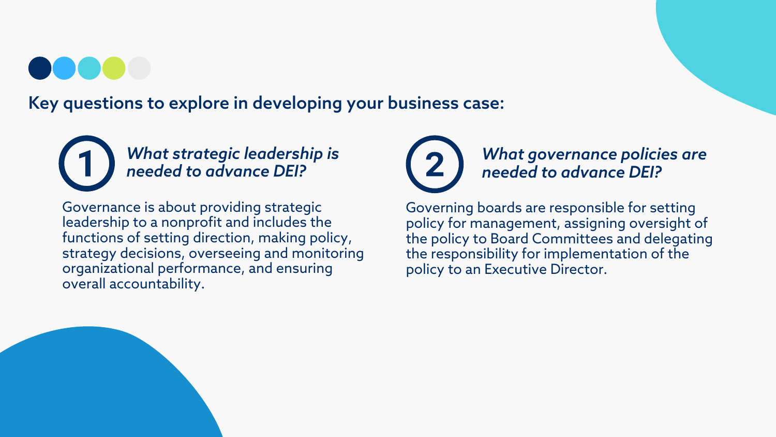Key questions to explore in developing your business case:



Governance is about providing strategic leadership to a nonprofit and includes the functions of setting direction, making policy, strategy decisions, overseeing and monitoring organizational performance, and ensuring overall accountability.



*What strategic leadership is needed to advance DEI?*

> Governing boards are responsible for setting policy for management, assigning oversight of the policy to Board Committees and delegating the responsibility for implementation of the policy to an Executive Director.

#### *What governance policies are needed to advance DEI?*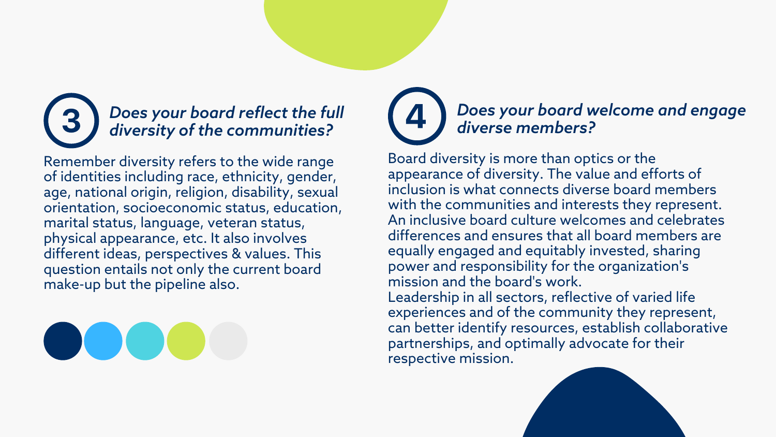Remember diversity refers to the wide range of identities including race, ethnicity, gender, age, national origin, religion, disability, sexual orientation, socioeconomic status, education, marital status, language, veteran status, physical appearance, etc. It also involves different ideas, perspectives & values. This question entails not only the current board make-up but the pipeline also.



#### *Does your board reflect the full diversity of the communities?*

Board diversity is more than optics or the appearance of diversity. The value and efforts of inclusion is what connects diverse board members with the communities and interests they represent. An inclusive board culture welcomes and celebrates differences and ensures that all board members are equally engaged and equitably invested, sharing power and responsibility for the organization's mission and the board's work. Leadership in all sectors, reflective of varied life experiences and of the community they represent, can better identify resources, establish collaborative partnerships, and optimally advocate for their respective mission.

#### *Does your board welcome and engage diverse members?*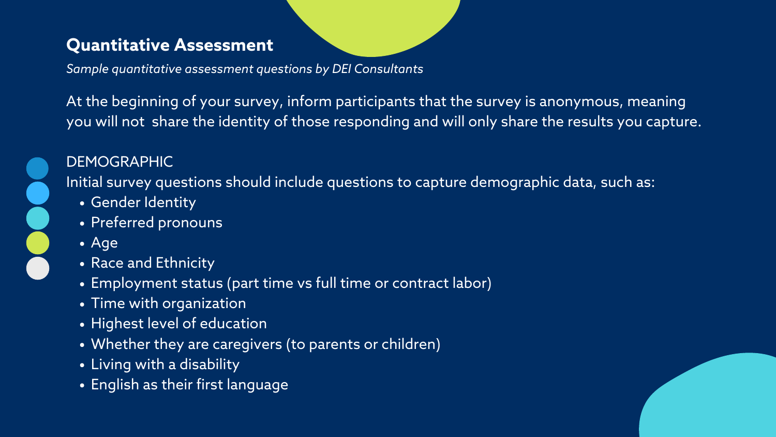- Gender Identity
- Preferred pronouns
- Age
- Race and Ethnicity
- Employment status (part time vs full time or contract labor)
- Time with organization
- Highest level of education
- Whether they are caregivers (to parents or children)
- Living with a disability
- English as their first language



At the beginning of your survey, inform participants that the survey is anonymous, meaning you will not share the identity of those responding and will only share the results you capture.

#### DEMOGRAPHIC

Initial survey questions should include questions to capture demographic data, such as:

#### **Quantitative Assessment**

*Sample quantitative assessment questions by DEI Consultants*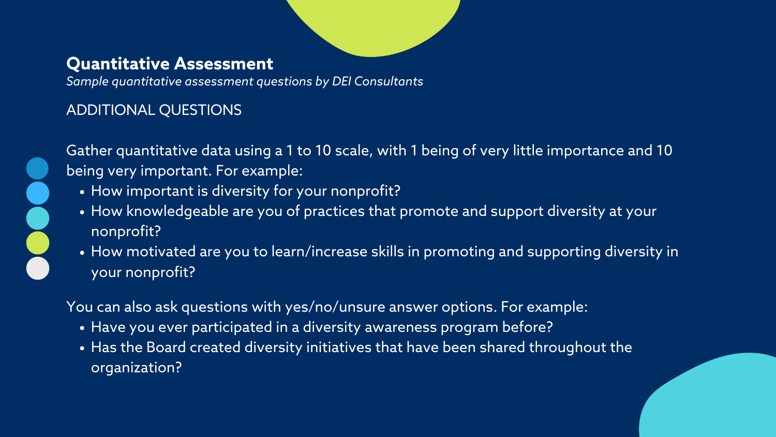- How important is diversity for your nonprofit?
- How knowledgeable are you of practices that promote and support diversity at your nonprofit?
- . How motivated are you to learn/increase skills in promoting and supporting diversity in your nonprofit?

#### ADDITIONAL QUESTIONS



- Have you ever participated in a diversity awareness program before?
- Has the Board created diversity initiatives that have been shared throughout the organization?

Gather quantitative data using a 1 to 10 scale, with 1 being of very little importance and 10 being very important. For example:

#### **Quantitative Assessment**

You can also ask questions with yes/no/unsure answer options. For example:

*Sample quantitative assessment questions by DEI Consultants*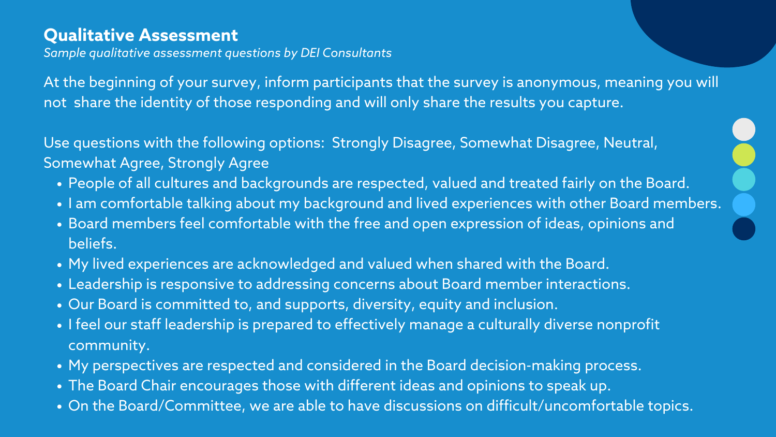- People of all cultures and backgrounds are respected, valued and treated fairly on the Board.
- . I am comfortable talking about my background and lived experiences with other Board members.
- Board members feel comfortable with the free and open expression of ideas, opinions and beliefs.
- My lived experiences are acknowledged and valued when shared with the Board.
- Leadership is responsive to addressing concerns about Board member interactions.
- Our Board is committed to, and supports, diversity, equity and inclusion.
- I feel our staff leadership is prepared to effectively manage a culturally diverse nonprofit community.
- My perspectives are respected and considered in the Board decision-making process.
- The Board Chair encourages those with different ideas and opinions to speak up.
- On the Board/Committee, we are able to have discussions on difficult/uncomfortable topics.

At the beginning of your survey, inform participants that the survey is anonymous, meaning you will not share the identity of those responding and will only share the results you capture.

Use questions with the following options: Strongly Disagree, Somewhat Disagree, Neutral, Somewhat Agree, Strongly Agree

#### **Qualitative Assessment**

*Sample qualitative assessment questions by DEI Consultants*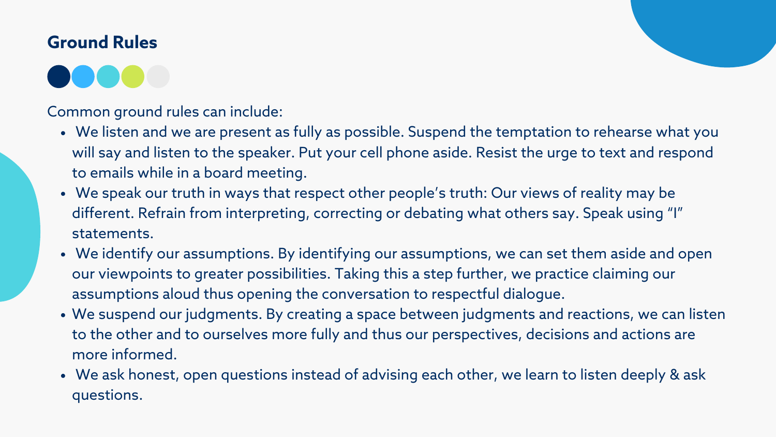- We listen and we are present as fully as possible. Suspend the temptation to rehearse what you will say and listen to the speaker. Put your cell phone aside. Resist the urge to text and respond to emails while in a board meeting.
- We speak our truth in ways that respect other people's truth: Our views of reality may be different. Refrain from interpreting, correcting or debating what others say. Speak using "I" statements.
- We identify our assumptions. By identifying our assumptions, we can set them aside and open our viewpoints to greater possibilities. Taking this a step further, we practice claiming our assumptions aloud thus opening the conversation to respectful dialogue.
- We suspend our judgments. By creating a space between judgments and reactions, we can listen to the other and to ourselves more fully and thus our perspectives, decisions and actions are more informed.
- We ask honest, open questions instead of advising each other, we learn to listen deeply & ask questions.

Common ground rules can include:

### **Ground Rules**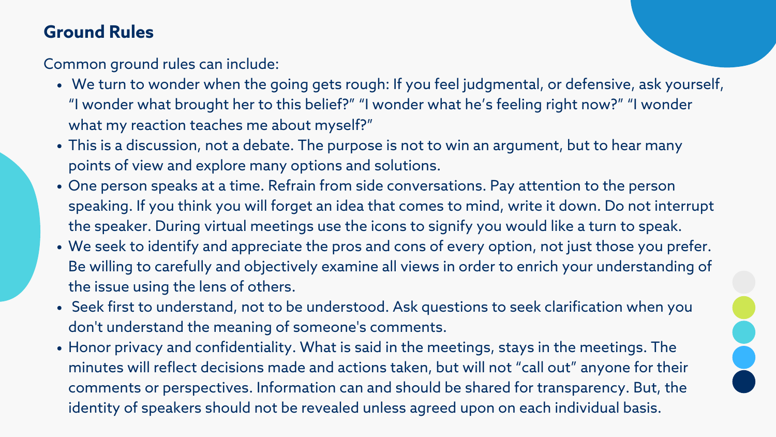- We turn to wonder when the going gets rough: If you feel judgmental, or defensive, ask yourself, "I wonder what brought her to this belief?" "I wonder what he's feeling right now?" "I wonder what my reaction teaches me about myself?"
- This is a discussion, not a debate. The purpose is not to win an argument, but to hear many points of view and explore many options and solutions.
- One person speaks at a time. Refrain from side conversations. Pay attention to the person speaking. If you think you will forget an idea that comes to mind, write it down. Do not interrupt the speaker. During virtual meetings use the icons to signify you would like a turn to speak.
- We seek to identify and appreciate the pros and cons of every option, not just those you prefer. Be willing to carefully and objectively examine all views in order to enrich your understanding of the issue using the lens of others.
- Seek first to understand, not to be understood. Ask questions to seek clarification when you don't understand the meaning of someone's comments.
- Honor privacy and confidentiality. What is said in the meetings, stays in the meetings. The minutes will reflect decisions made and actions taken, but will not "call out" anyone for their comments or perspectives. Information can and should be shared for transparency. But, the identity of speakers should not be revealed unless agreed upon on each individual basis.

Common ground rules can include:

### **Ground Rules**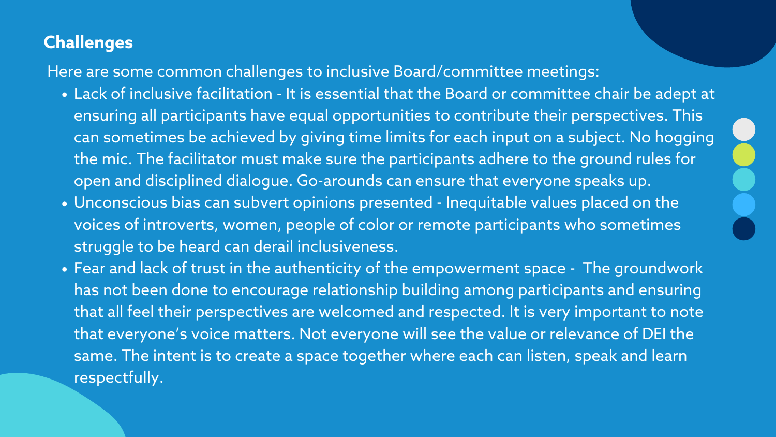- Lack of inclusive facilitation It is essential that the Board or committee chair be adept at ensuring all participants have equal opportunities to contribute their perspectives. This can sometimes be achieved by giving time limits for each input on a subject. No hogging the mic. The facilitator must make sure the participants adhere to the ground rules for open and disciplined dialogue. Go-arounds can ensure that everyone speaks up.
- Unconscious bias can subvert opinions presented Inequitable values placed on the voices of introverts, women, people of color or remote participants who sometimes struggle to be heard can derail inclusiveness.
- Fear and lack of trust in the authenticity of the empowerment space The groundwork has not been done to encourage relationship building among participants and ensuring that all feel their perspectives are welcomed and respected. It is very important to note that everyone's voice matters. Not everyone will see the value or relevance of DEI the same. The intent is to create a space together where each can listen, speak and learn respectfully.

Here are some common challenges to inclusive Board/committee meetings:

### **Challenges**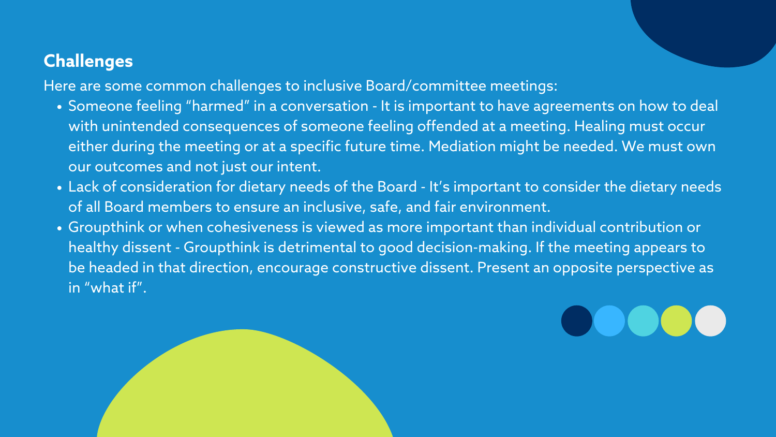- Someone feeling "harmed" in a conversation It is important to have agreements on how to deal with unintended consequences of someone feeling offended at a meeting. Healing must occur either during the meeting or at a specific future time. Mediation might be needed. We must own our outcomes and not just our intent.
- Lack of consideration for dietary needs of the Board It's important to consider the dietary needs of all Board members to ensure an inclusive, safe, and fair environment.
- Groupthink or when cohesiveness is viewed as more important than individual contribution or healthy dissent - Groupthink is detrimental to good decision-making. If the meeting appears to be headed in that direction, encourage constructive dissent. Present an opposite perspective as in "what if".



## $\bigcirc$

Here are some common challenges to inclusive Board/committee meetings:

#### **Challenges**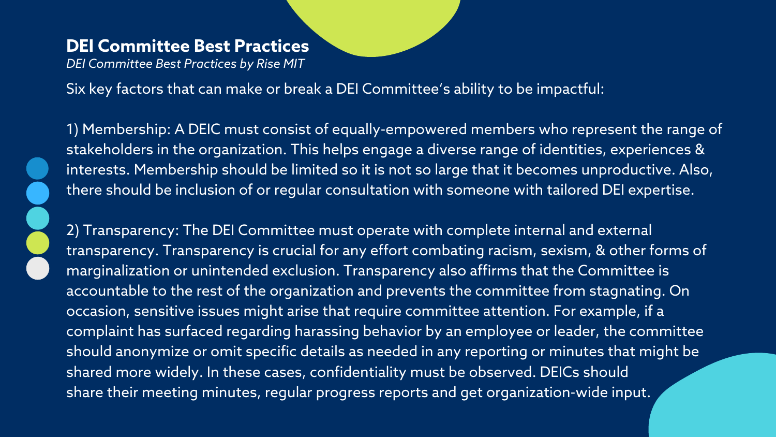Six key factors that can make or break a DEI Committee's ability to be impactful:

1) Membership: A DEIC must consist of equally-empowered members who represent the range of stakeholders in the organization. This helps engage a diverse range of identities, experiences & interests. Membership should be limited so it is not so large that it becomes unproductive. Also, there should be inclusion of or regular consultation with someone with tailored DEI expertise.

2) Transparency: The DEI Committee must operate with complete internal and external transparency. Transparency is crucial for any effort combating racism, sexism, & other forms of marginalization or unintended exclusion. Transparency also affirms that the Committee is accountable to the rest of the organization and prevents the committee from stagnating. On occasion, sensitive issues might arise that require committee attention. For example, if a complaint has surfaced regarding harassing behavior by an employee or leader, the committee should anonymize or omit specific details as needed in any reporting or minutes that might be shared more widely. In these cases, confidentiality must be observed. DEICs should share their meeting minutes, regular progress reports and get organization-wide input.

#### **DEI Committee Best Practices**

*DEI Committee Best Practices by Rise MIT*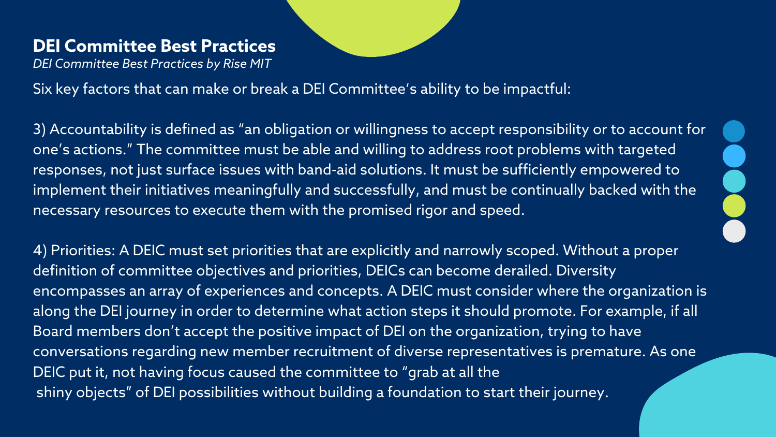Six key factors that can make or break a DEI Committee's ability to be impactful:

3) Accountability is [defined](https://www.merriam-webster.com/dictionary/accountability) as "an obligation or willingness to accept responsibility or to account for one's actions." The committee must be able and willing to address root problems with targeted responses, not just surface issues with band-aid solutions. It must be sufficiently empowered to implement their initiatives meaningfully and successfully, and must be continually backed with the necessary resources to execute them with the promised rigor and speed.

4) Priorities: A DEIC must set priorities that are explicitly and narrowly scoped. Without a proper definition of committee objectives and priorities, DEICs can become derailed. Diversity encompasses an array of experiences and concepts. A DEIC must consider where the organization is along the DEI journey in order to determine what action steps it should promote. For example, if all Board members don't accept the positive impact of DEI on the organization, trying to have conversations regarding new member recruitment of diverse representatives is premature. As one DEIC put it, not having focus caused the committee to "grab at all the shiny objects" of DEI possibilities without building a foundation to start their journey.

#### **DEI Committee Best Practices**

*DEI Committee Best Practices by Rise MIT*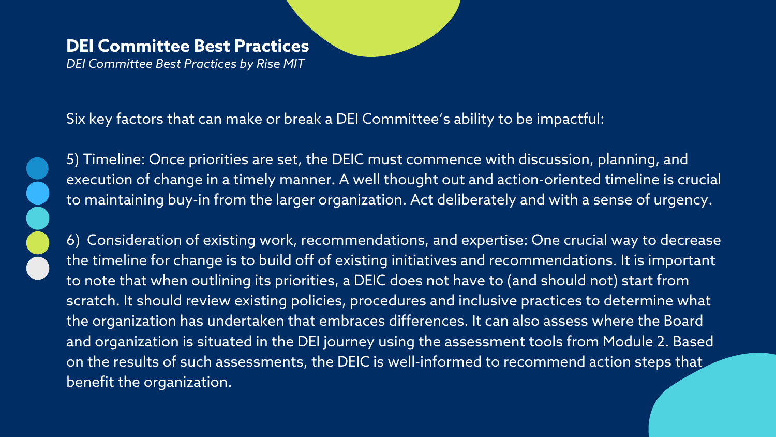Six key factors that can make or break a DEI Committee's ability to be impactful:



5) Timeline: Once priorities are set, the DEIC must commence with discussion, planning, and execution of change in a timely manner. A well thought out and action-oriented timeline is crucial to maintaining buy-in from the larger organization. Act deliberately and with a sense of urgency.

6) Consideration of existing work, recommendations, and expertise: One crucial way to decrease the timeline for change is to build off of existing initiatives and recommendations. It is important to note that when outlining its priorities, a DEIC does not have to (and should not) start from scratch. It should review existing policies, procedures and inclusive practices to determine what the organization has undertaken that embraces differences. It can also assess where the Board and organization is situated in the DEI journey using the assessment tools from Module 2. Based on the results of such assessments, the DEIC is well-informed to recommend action steps that benefit the organization.

### **DEI Committee Best Practices**

*DEI Committee Best Practices by Rise MIT*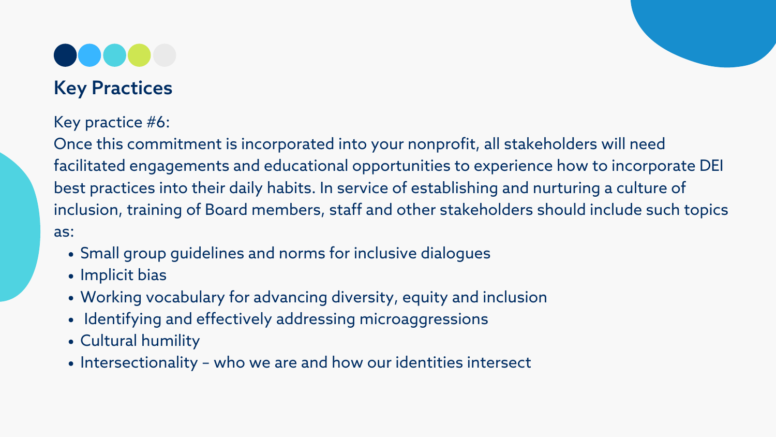

### Key Practices

- Small group guidelines and norms for inclusive dialogues
- Implicit bias
- Working vocabulary for advancing diversity, equity and inclusion
- Identifying and effectively addressing microaggressions
- Cultural humility
- Intersectionality who we are and how our identities intersect

Key practice #6:

Once this commitment is incorporated into your nonprofit, all stakeholders will need facilitated engagements and educational opportunities to experience how to incorporate DEI best practices into their daily habits. In service of establishing and nurturing a culture of inclusion, training of Board members, staff and other stakeholders should include such topics as: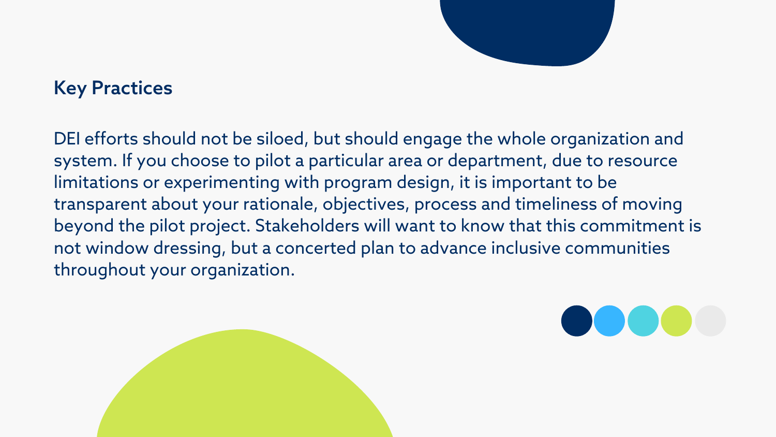DEI efforts should not be siloed, but should engage the whole organization and system. If you choose to pilot a particular area or department, due to resource limitations or experimenting with program design, it is important to be transparent about your rationale, objectives, process and timeliness of moving beyond the pilot project. Stakeholders will want to know that this commitment is not window dressing, but a concerted plan to advance inclusive communities throughout your organization.





### Key Practices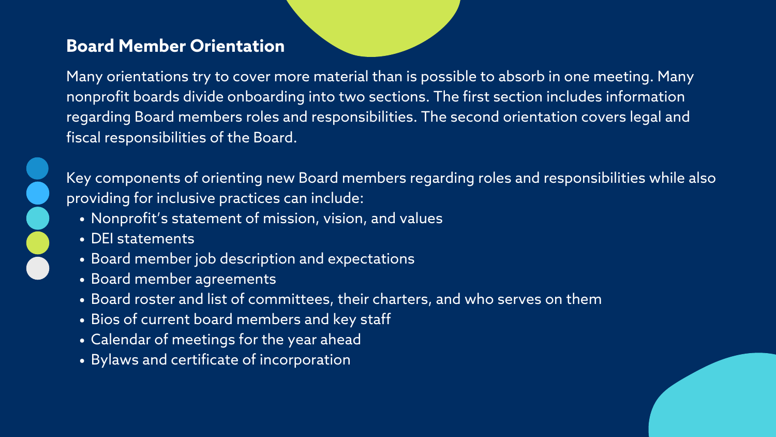- Nonprofit's statement of mission, vision, and values
- DEI statements
- Board member job description and expectations
- Board member agreements
- Board roster and list of committees, their charters, and who serves on them
- Bios of current board members and key staff
- Calendar of meetings for the year ahead
- Bylaws and certificate of incorporation

Many orientations try to cover more material than is possible to absorb in one meeting. Many nonprofit boards divide onboarding into two sections. The first section includes information regarding Board members roles and responsibilities. The second orientation covers legal and fiscal responsibilities of the Board.



Key components of orienting new Board members regarding roles and responsibilities while also providing for inclusive practices can include:

#### **Board Member Orientation**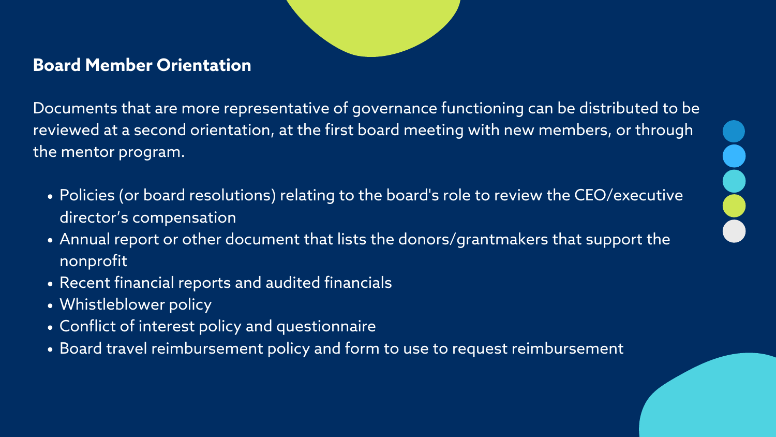Documents that are more representative of governance functioning can be distributed to be reviewed at a second orientation, at the first board meeting with new members, or through the mentor program.

- Policies (or board resolutions) relating to the board's role to review the [CEO/executive](https://www.councilofnonprofits.org/tools-resources/executive-compensation) director's compensation
- Annual report or other document that lists the donors/grantmakers that support the nonprofit
- Recent financial reports and audited financials
- Whistleblower policy
- Conflict of interest policy and questionnaire
- . Board travel [reimbursement](https://www.councilofnonprofits.org/sites/default/files/documents/SAMPLE%20TRAVEL%20REIMBURSEMENT%20POLICY.docx) policy and form to use to request reimbursement





### **Board Member Orientation**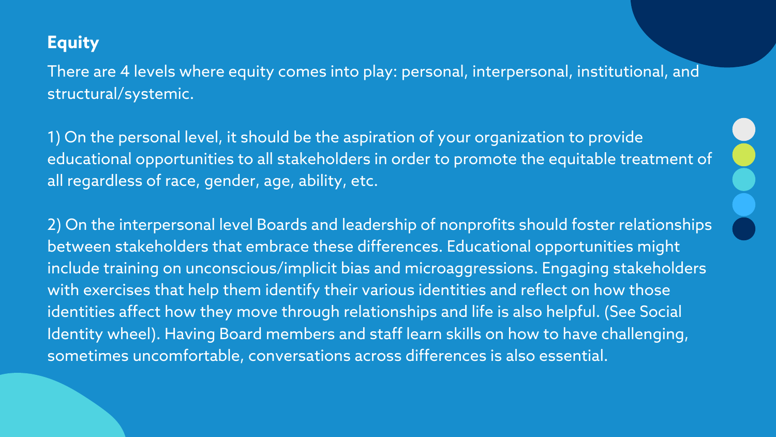There are 4 levels where equity comes into play: personal, interpersonal, institutional, and structural/systemic.

1) On the personal level, it should be the aspiration of your organization to provide educational opportunities to all stakeholders in order to promote the equitable treatment of all regardless of race, gender, age, ability, etc.

2) On the interpersonal level Boards and leadership of nonprofits should foster relationships between stakeholders that embrace these differences. Educational opportunities might include training on unconscious/implicit bias and microaggressions. Engaging stakeholders with exercises that help them identify their various identities and reflect on how those identities affect how they move through relationships and life is also helpful. (See Social Identity wheel). Having Board members and staff learn skills on how to have challenging, sometimes uncomfortable, conversations across differences is also essential.

#### **Equity**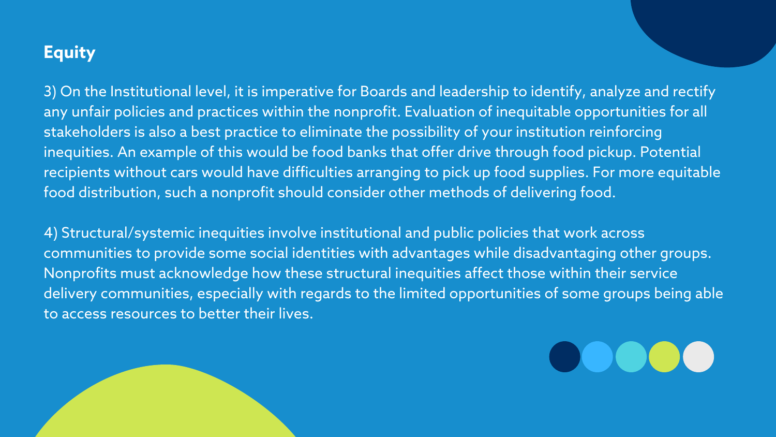3) On the Institutional level, it is imperative for Boards and leadership to identify, analyze and rectify any unfair policies and practices within the nonprofit. Evaluation of inequitable opportunities for all stakeholders is also a best practice to eliminate the possibility of your institution reinforcing inequities. An example of this would be food banks that offer drive through food pickup. Potential recipients without cars would have difficulties arranging to pick up food supplies. For more equitable food distribution, such a nonprofit should consider other methods of delivering food.

4) Structural/systemic inequities involve institutional and public policies that work across communities to provide some social identities with advantages while disadvantaging other groups. Nonprofits must acknowledge how these structural inequities affect those within their service delivery communities, especially with regards to the limited opportunities of some groups being able to access resources to better their lives.



### **Equity**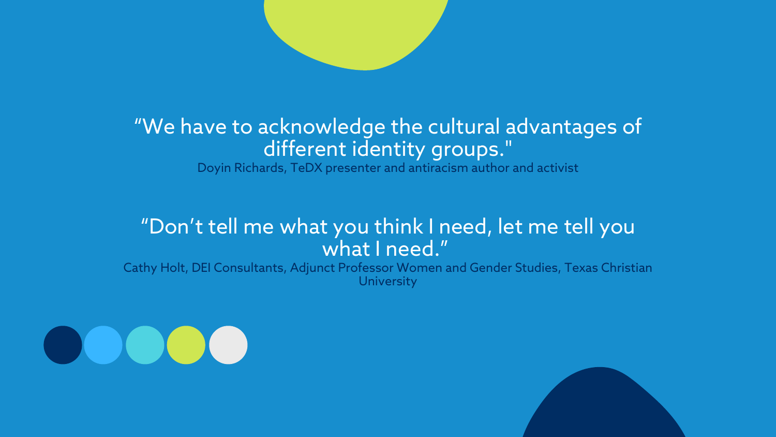### "We have to acknowledge the cultural advantages of different identity groups. " Doyin Richards, TeDX presenter and antiracism author and activist

Cathy Holt, DEI Consultants, Adjunct Professor Women and Gender Studies, Texas Christian **University** 





### "Don't tell me what you think I need, let me tell you what I need. "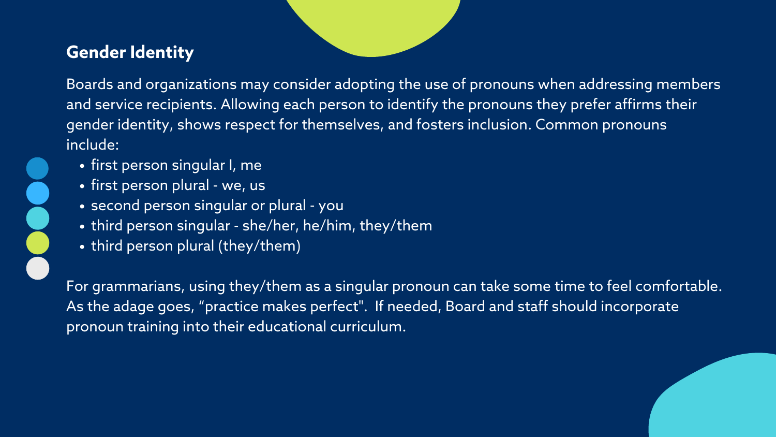Boards and organizations may consider adopting the use of pronouns when addressing members and service recipients. Allowing each person to identify the pronouns they prefer affirms their gender identity, shows respect for themselves, and fosters inclusion. Common pronouns include:

- first person singular I, me
- first person plural we, us
- second person singular or plural you
- third person singular she/her, he/him, they/them
- third person plural (they/them)

For grammarians, using they/them as a singular pronoun can take some time to feel comfortable. As the adage goes, "practice makes perfect". If needed, Board and staff should incorporate pronoun training into their educational curriculum.



#### **Gender Identity**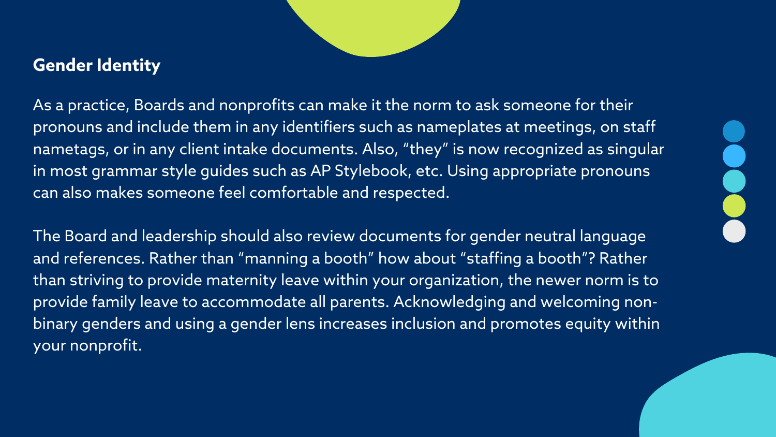As a practice, Boards and nonprofits can make it the norm to ask someone for their pronouns and include them in any identifiers such as nameplates at meetings, on staff nametags, or in any client intake documents. Also, "they" is now recognized as singular in most grammar style guides such as AP Stylebook, etc. Using appropriate pronouns can also makes someone feel comfortable and respected.

The Board and leadership should also review documents for gender neutral language and references. Rather than "manning a booth" how about "staffing a booth"? Rather than striving to provide maternity leave within your organization, the newer norm is to provide family leave to accommodate all parents. Acknowledging and welcoming nonbinary genders and using a gender lens increases inclusion and promotes equity within your nonprofit.



#### **Gender Identity**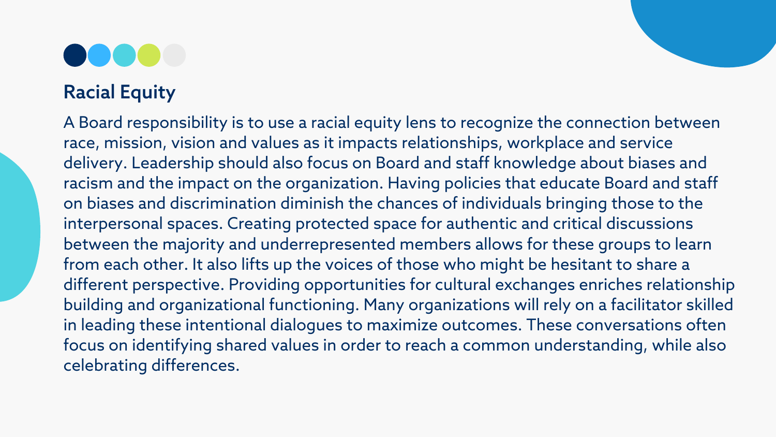A Board responsibility is to use a racial equity lens to recognize the connection between race, mission, vision and values as it impacts relationships, workplace and service delivery. Leadership should also focus on Board and staff knowledge about biases and racism and the impact on the organization. Having policies that educate Board and staff on biases and discrimination diminish the chances of individuals bringing those to the interpersonal spaces. Creating protected space for authentic and critical discussions between the majority and underrepresented members allows for these groups to learn from each other. It also lifts up the voices of those who might be hesitant to share a different perspective. Providing opportunities for cultural exchanges enriches relationship building and organizational functioning. Many organizations will rely on a facilitator skilled in leading these intentional dialogues to maximize outcomes. These conversations often focus on identifying shared values in order to reach a common understanding, while also celebrating differences.

### Racial Equity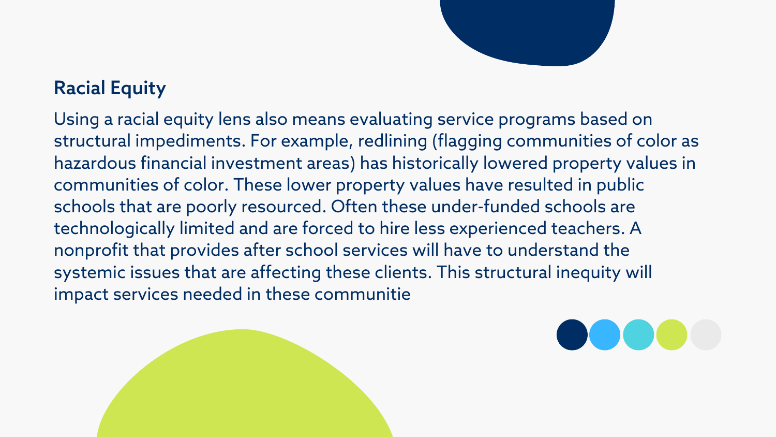Using a racial equity lens also means evaluating service programs based on structural impediments. For example, redlining (flagging communities of color as hazardous financial investment areas) has historically lowered property values in communities of color. These lower property values have resulted in public schools that are poorly resourced. Often these under-funded schools are technologically limited and are forced to hire less experienced teachers. A nonprofit that provides after school services will have to understand the systemic issues that are affecting these clients. This structural inequity will impact services needed in these communitie



### Racial Equity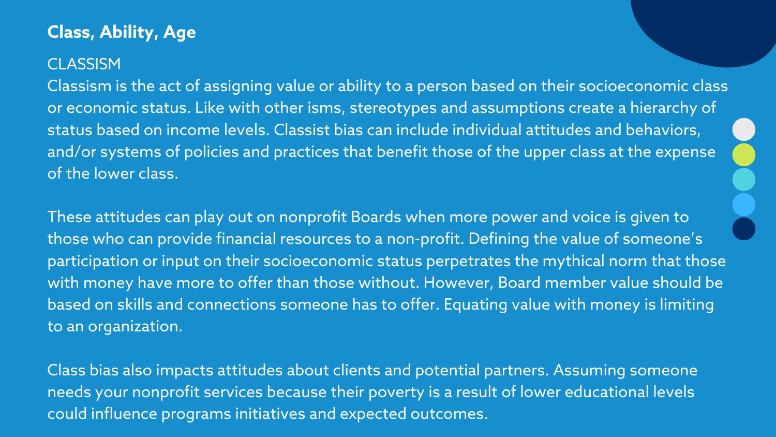Classism is the act of assigning value or ability to a person based on their socioeconomic class or economic status. Like with other isms, stereotypes and assumptions create a hierarchy of status based on income levels. Classist bias can include individual attitudes and behaviors, and/or systems of policies and practices that benefit those of the upper class at the expense of the lower class.

These attitudes can play out on nonprofit Boards when more power and voice is given to those who can provide financial resources to a non-profit. Defining the value of someone's participation or input on their socioeconomic status perpetrates the mythical norm that those with money have more to offer than those without. However, Board member value should be based on skills and connections someone has to offer. Equating value with money is limiting to an organization.

Class bias also impacts attitudes about clients and potential partners. Assuming someone needs your nonprofit services because their poverty is a result of lower educational levels could influence programs initiatives and expected outcomes.

#### **Class, Ability, Age**

#### **CLASSISM**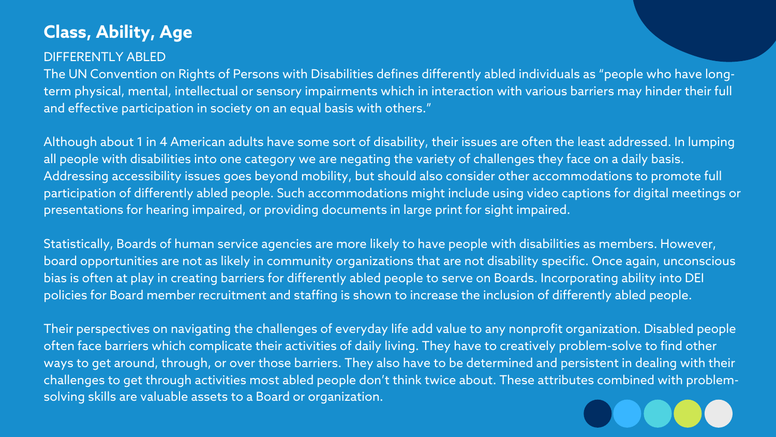#### DIFFERENTLY ABLED

The UN Convention on Rights of Persons with Disabilities defines differently abled individuals as "people who have longterm physical, mental, intellectual or sensory impairments which in interaction with various barriers may hinder their full and effective participation in society on an equal basis with others."

Although about 1 in 4 American adults have some sort of disability, their issues are often the least addressed. In lumping all people with disabilities into one category we are negating the variety of challenges they face on a daily basis. Addressing accessibility issues goes beyond mobility, but should also consider other accommodations to promote full participation of differently abled people. Such accommodations might include using video captions for digital meetings or presentations for hearing impaired, or providing documents in large print for sight impaired.

Statistically, Boards of human service agencies are more likely to have people with disabilities as members. However, board opportunities are not as likely in community organizations that are not disability specific. Once again, unconscious bias is often at play in creating barriers for differently abled people to serve on Boards. Incorporating ability into DEI policies for Board member recruitment and staffing is shown to increase the inclusion of differently abled people.

Their perspectives on navigating the challenges of everyday life add value to any nonprofit organization. Disabled people often face barriers which complicate their activities of daily living. They have to creatively problem-solve to find other ways to get around, through, or over those barriers. They also have to be determined and persistent in dealing with their challenges to get through activities most abled people don't think twice about. These attributes combined with problemsolving skills are valuable assets to a Board or organization.



### **Class, Ability, Age**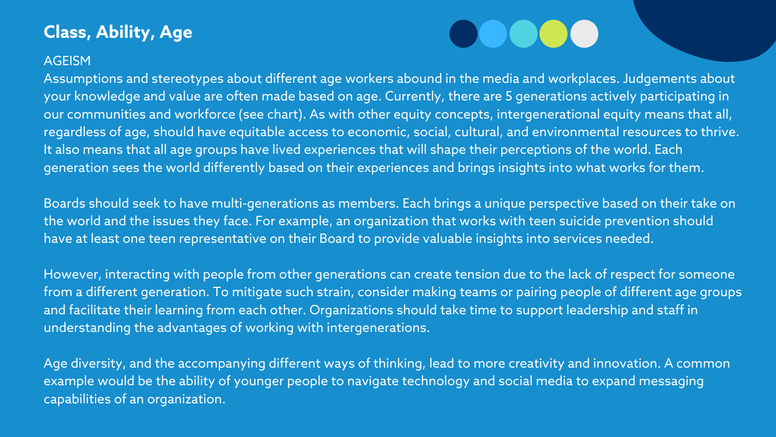Assumptions and stereotypes about different age workers abound in the media and workplaces. Judgements about your knowledge and value are often made based on age. Currently, there are 5 generations actively participating in our communities and workforce (see chart). As with other equity concepts, intergenerational equity means that all, regardless of age, should have equitable access to economic, social, cultural, and environmental resources to thrive. It also means that all age groups have lived experiences that will shape their perceptions of the world. Each generation sees the world differently based on their experiences and brings insights into what works for them.

Boards should seek to have multi-generations as members. Each brings a unique perspective based on their take on the world and the issues they face. For example, an organization that works with teen suicide prevention should have at least one teen representative on their Board to provide valuable insights into services needed.

However, interacting with people from other generations can create tension due to the lack of respect for someone from a different generation. To mitigate such strain, consider making teams or pairing people of different age groups and facilitate their learning from each other. Organizations should take time to support leadership and staff in understanding the advantages of working with intergenerations.

Age diversity, and the accompanying different ways of thinking, lead to more creativity and innovation. A common example would be the ability of younger people to navigate technology and social media to expand messaging capabilities of an organization.

# $\bigcirc$

### **Class, Ability, Age**

#### **AGEISM**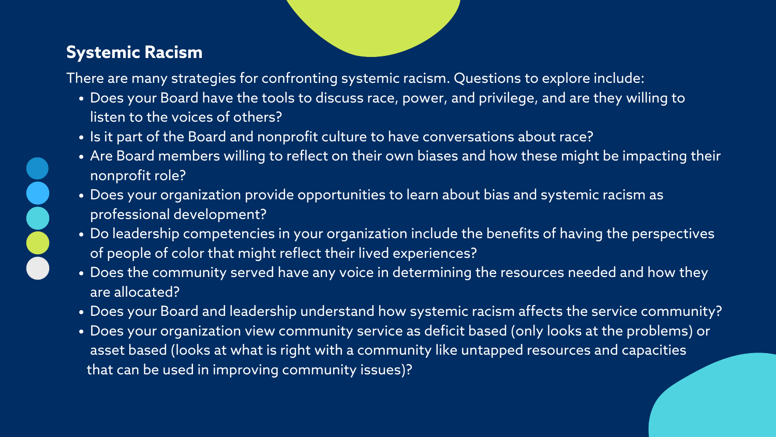- Does your Board have the tools to discuss race, power, and privilege, and are they willing to listen to the voices of others?
- . Is it part of the Board and nonprofit culture to have conversations about race?
- Are Board members willing to reflect on their own biases and how these might be impacting their nonprofit role?
- Does your organization provide opportunities to learn about bias and systemic racism as professional development?
- . Do leadership competencies in your organization include the benefits of having the perspectives of people of color that might reflect their lived experiences?
- Does the community served have any voice in determining the resources needed and how they are allocated?
- Does your Board and leadership understand how systemic racism affects the service community?
- Does your organization view community service as deficit based (only looks at the problems) or asset based (looks at what is right with a community like untapped resources and capacities that can be used in improving community issues)?

There are many strategies for confronting systemic racism. Questions to explore include:

#### **Systemic Racism**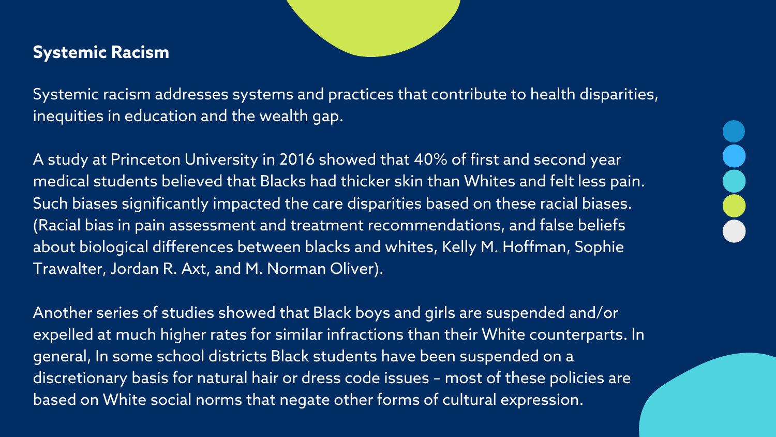Systemic racism addresses systems and practices that contribute to health disparities, inequities in education and the wealth gap.

A study at Princeton University in 2016 showed that 40% of first and second year medical students believed that Blacks had thicker skin than Whites and felt less pain. Such biases significantly impacted the care disparities based on these racial biases. (Racial bias in pain assessment and treatment recommendations, and false beliefs about biological differences between blacks and whites, Kelly M. Hoffman, Sophie Trawalter, Jordan R. Axt, and M. Norman Oliver).

Another series of studies showed that Black boys and girls are suspended and/or expelled at much higher rates for similar infractions than their White counterparts. In general, In some school districts Black students have been suspended on a discretionary basis for natural hair or dress code issues – most of these policies are based on White social norms that negate other forms of cultural expression.

#### **Systemic Racism**